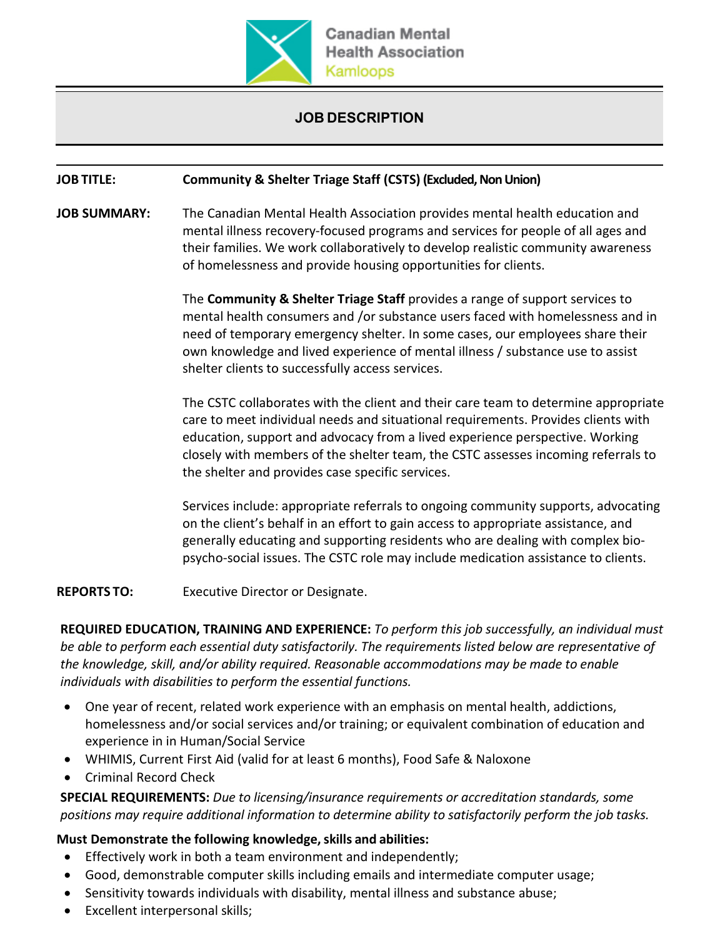

## **JOB DESCRIPTION**

## **JOB TITLE: Community & Shelter Triage Staff (CSTS) (Excluded, Non Union)**

**JOB SUMMARY:** The Canadian Mental Health Association provides mental health education and mental illness recovery-focused programs and services for people of all ages and their families. We work collaboratively to develop realistic community awareness of homelessness and provide housing opportunities for clients.

> The **Community & Shelter Triage Staff** provides a range of support services to mental health consumers and /or substance users faced with homelessness and in need of temporary emergency shelter. In some cases, our employees share their own knowledge and lived experience of mental illness / substance use to assist shelter clients to successfully access services.

The CSTC collaborates with the client and their care team to determine appropriate care to meet individual needs and situational requirements. Provides clients with education, support and advocacy from a lived experience perspective. Working closely with members of the shelter team, the CSTC assesses incoming referrals to the shelter and provides case specific services.

Services include: appropriate referrals to ongoing community supports, advocating on the client's behalf in an effort to gain access to appropriate assistance, and generally educating and supporting residents who are dealing with complex biopsycho-social issues. The CSTC role may include medication assistance to clients.

**REPORTS TO:** Executive Director or Designate.

**REQUIRED EDUCATION, TRAINING AND EXPERIENCE:** *To perform this job successfully, an individual must be able to perform each essential duty satisfactorily. The requirements listed below are representative of the knowledge, skill, and/or ability required. Reasonable accommodations may be made to enable individuals with disabilities to perform the essential functions.*

- One year of recent, related work experience with an emphasis on mental health, addictions, homelessness and/or social services and/or training; or equivalent combination of education and experience in in Human/Social Service
- WHIMIS, Current First Aid (valid for at least 6 months), Food Safe & Naloxone
- Criminal Record Check

**SPECIAL REQUIREMENTS:** *Due to licensing/insurance requirements or accreditation standards, some positions may require additional information to determine ability to satisfactorily perform the job tasks.*

## **Must Demonstrate the following knowledge,skills and abilities:**

- Effectively work in both a team environment and independently;
- Good, demonstrable computer skills including emails and intermediate computer usage;
- Sensitivity towards individuals with disability, mental illness and substance abuse;
- Excellent interpersonal skills;